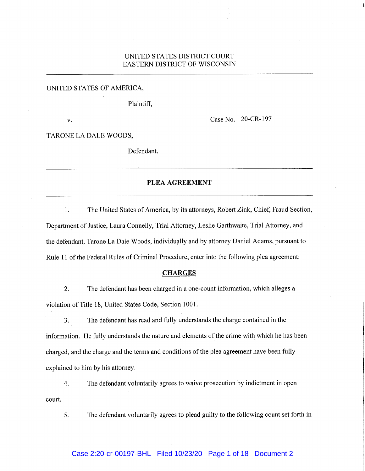# UNITED STATES DISTRICT COURT EASTERN DISTRICT OF WISCONSIN

# UNITED STATES OF AMERICA,

Plaintiff,

V. Case No. 20-CR-197

TARONE LA DALE WOODS,

Defendant.

# PLEA AGREEMENT

1. The United States of America, by its attorneys, Robert Zink, Chief, Fraud Section, Department of Justice, Laura Connelly, Trial Attorney, Leslie Garthwaite, Trial Attorney, and the defendant, Tarone La Dale Woods, individually and by attorney Daniel Adams, pursuant to Rule 11 of the Federal Rules of Criminal Procedure, enter into the following plea agreement:

### **CHARGES**

2. The defendant has been charged in a one-count information, which alleges a violation of Title 18, United States Code, Section 1001.

3. The defendant has read and fully understands the charge contained in the information. He fully understands the nature and elements of the crime with which he has been charged, and the charge and the terms and conditions of the plea agreement have been fully explained to him by his attorney.

4. The defendant voluntarily agrees to waive prosecution by indictment in open court.

5. The defendant voluntarily agrees to plead guilty to the following count set forth in

### Case 2:20-cr-00197-BHL Filed 10/23/20 Page 1 of 18 Document 2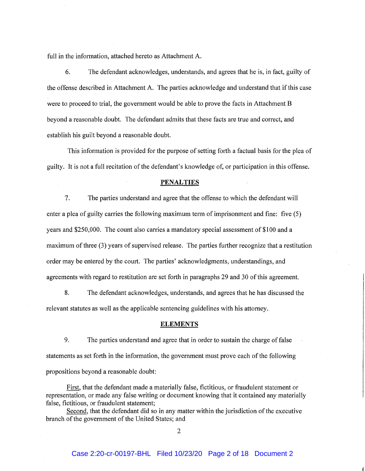full in the information, attached hereto as Attachment A.

6. The defendant acknowledges, understands, and agrees that he is, in fact, guilty of the offense described in Attachment A. The parties acknowledge and understand that if this case were to proceed to trial, the government would be able to prove the facts in Attachment B beyond a reasonable doubt. The defendant admits that these facts are true and correct, and establish his guilt beyond a reasonable doubt.

This information is provided for the purpose of setting forth a factual basis for the plea of guilty. It is not a full recitation of the defendant's knowledge of, or participation in this offense.

#### PENALTIES

7. The parties understand and agree that the offense to which the defendant will enter a plea of guilty carries the following maximum term of imprisonment and fine: five (5) years and \$250,000. The count also carries a mandatory special assessment of \$100 and a maximum of three (3) years of supervised release. The parties further recognize that a restitution order may be entered by the court. The parties' acknowledgments, understandings, and agreements with regard to restitution are set forth in paragraphs 29 and 30 of this agreement.

8. The defendant acknowledges, understands, and agrees that he has discussed the relevant statutes as well as the applicable sentencing guidelines with his attorney.

### **ELEMENTS**

9. The parties understand and agree that in order to sustain the charge of false statements as set forth in the information, the government must prove each of the following propositions beyond a reasonable doubt:

First, that the defendant made a materially false, fictitious, or fraudulent statement or representation, or made any false writing or document knowing that it contained any materially false, fictitious, or fraudulent statement;

Second, that the defendant did so in any matter within the jurisdiction of the executive branch of the government of the United States; and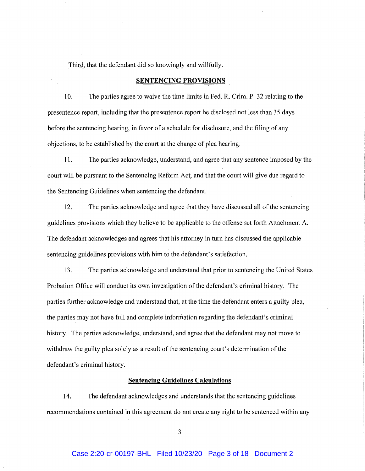Third, that the defendant did so knowingly and willfully.

### **SENTENCING PROVISIONS**

10. The parties agree to waive the time limits in Fed. R. Crim. P. 32 relating to the presentence report, including that the presentence report be disclosed not less than 35 days before the sentencing hearing, in favor of a schedule for disclosure, and the filing of any objections, to be established by the court at the change of plea hearing.

11. The parties acknowledge, understand, and agree that any sentence imposed by the court will be pursuant to the Sentencing Reform Act, and that the court will give due regard to the Sentencing Guidelines when sentencing the defendant.

12. The parties acknowledge and agree that they have discussed all of the sentencing guidelines provisions which they believe to be applicable to the offense set forth Attachment A. The defendant acknowledges and agrees that his attorney in turn has discussed the applicable sentencing guidelines provisions with him to the defendant's satisfaction.

13. The parties acknowledge and understand that prior to sentencing the United States Probation Office will conduct its own investigation of the defendant's criminal history. The parties further acknowledge and understand that, at the time the defendant enters a guilty plea, the parties may not have full and complete information regarding the defendant's criminal history. The parties acknowledge, understand, and agree that the defendant may not move to withdraw the guilty plea solely as a result of the sentencing court's determination of the defendant's criminal history.

### **Sentencing Guidelines Calculations**

14. The defendant acknowledges and understands that the sentencing guidelines recommendations contained in this agreement do not create any right to be sentenced within any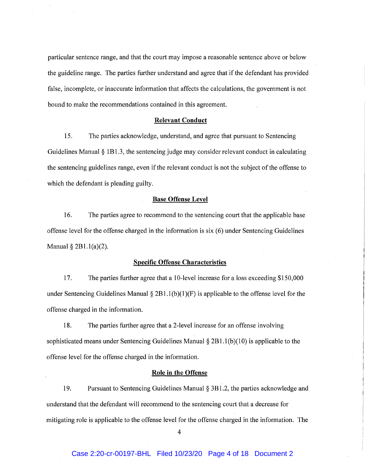particular sentence range, and that the court may impose a reasonable sentence above or below the guideline range. The parties further understand and agree that if the defendant has provided false, incomplete, or inaccurate information that affects the calculations, the government is not bound to make the recommendations contained in this agreement.

### **Relevant Conduct**

15. The parties acknowledge, understand, and agree that pursuant to Sentencing Guidelines Manual § 1B1.3, the sentencing judge may consider relevant conduct in calculating the sentencing guidelines range, even if the relevant conduct is not the subject of the offense to which the defendant is pleading guilty.

### **Base Offense Level**

16. The parties agree to recommend to the sentencing court that the applicable base offense level for the offense charged in the information is six (6) under Sentencing Guidelines Manual § 2B1.1(a)(2).

### **Specific Offense Characteristics**

17. The parties further agree that a 10-level increase for a loss exceeding \$150,000 under Sentencing Guidelines Manual  $\S 2B1.1(b)(1)(F)$  is applicable to the offense level for the offense charged in the information.

18. The parties further agree that a 2-level increase for an offense involving sophisticated means under Sentencing Guidelines Manual  $\S 2B1.1(b)(10)$  is applicable to the offense level for the offense charged in the information.

# **Role in the Offense**

19. Pursuant to Sentencing Guidelines Manual § 3B1.2, the parties acknowledge and understand that the defendant will recommend to the sentencing court that a decrease for mitigating role is applicable to the offense level for the offense charged in the information. The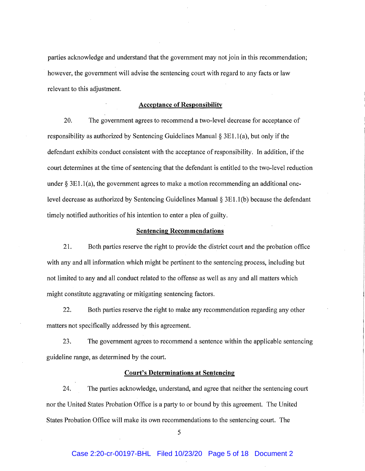parties acknowledge and understand that the government may not join in this recommendation; however, the government will advise the sentencing court with regard to any facts or law relevant to this adjustment.

### Acceptance of Responsibility

20. The government agrees to recommend a two-level decrease for acceptance of responsibility as authorized by Sentencing Guidelines Manual § 3E1.1(a), but only if the defendant exhibits conduct consistent with the acceptance of responsibility. In addition, if the court determines at the time of sentencing that the defendant is entitled to the two-level reduction under  $\S 3E1.1(a)$ , the government agrees to make a motion recommending an additional onelevel decrease as authorized by Sentencing Guidelines Manual § 3E1.1(b) because the defendant timely notified authorities of his intention to enter a plea of guilty.

### Sentencing Recommendations

21. Both parties reserve the right to provide the district court and the probation office with any and all information which might be pertinent to the sentencing process, including but not limited to any and all conduct related to the offense as well as any and all matters which might constitute aggravating or mitigating sentencing factors.

22. Both parties reserve the right to make any recommendation regarding any other matters not specifically addressed by this agreement.

23. The government agrees to recommend a sentence within the applicable sentencing guideline range, as determined by the court.

# Court's Determinations at Sentencing

24. The parties acknowledge, understand, and agree that neither the sentencing court nor the United States Probation Office is a party to or bound by this agreement. The United States Probation Office will make its own recommendations to the sentencing court. The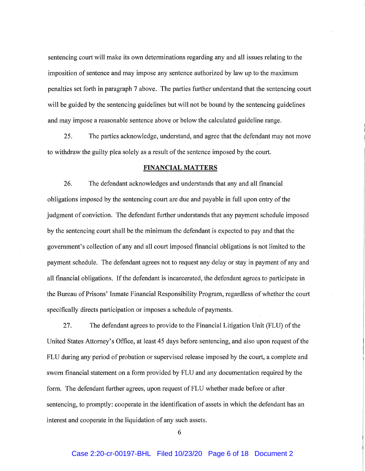sentencing court will make its own determinations regarding any and all issues relating to the imposition of sentence and may impose any sentence authorized by law up to the maximum penalties set forth in paragraph 7 above. The parties further understand that the sentencing court will be guided by the sentencing guidelines but will not be bound by the sentencing guidelines and may impose a reasonable sentence above or below the calculated guideline range.

25. The parties acknowledge, understand, and agree that the defendant may not move to withdraw the guilty plea solely as a result of the sentence imposed by the court.

### FINANCIAL MATTERS

26. The defendant acknowledges and understands that any and all financial obligations imposed by the sentencing court are due and payable in full upon entry of the judgment of conviction. The defendant further understands that any payment schedule imposed by the sentencing court shall be the minimum the defendant is expected to pay and that the government's collection of any and all court imposed financial obligations is not limited to the payment schedule. The defendant agrees not to request any delay or stay in payment of any and all financial obligations. If the defendant is incarcerated, the defendant agrees to participate in the Bureau of Prisons' Inmate Financial Responsibility Program, regardless of whether the court specifically directs participation or imposes a schedule of payments.

27. The defendant agrees to provide to the Financial Litigation Unit (FLU) of the United States Attorney's Office, at least 45 days before sentencing, and also upon request of the FLU during any period of probation or supervised release imposed by the court, a complete and sworn financial statement on a form provided by FLU and any documentation required by the form. The defendant further agrees, upon request of FLU whether made before or after sentencing, to promptly: cooperate in the identification of assets in which the defendant has an interest and cooperate in the liquidation of any such assets.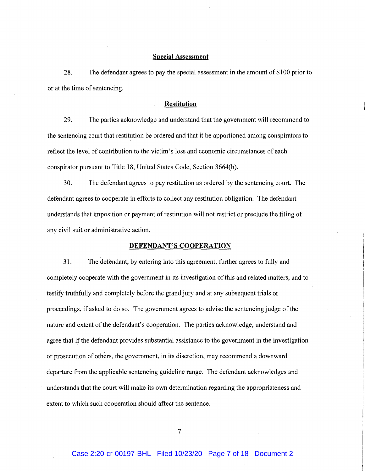### **Special Assessment**

28. The defendant agrees to pay the special assessment in the amount of \$100 prior to or at the time of sentencing.

### **Restitution**

29. The parties acknowledge and understand that the government will recommend to the sentencing court that restitution be ordered and that it be apportioned among conspirators to reflect the level of contribution to the victim's loss and economic circumstances of each conspirator pursuant to Title 18, United States Code, Section 3664(h).

30. The defendant agrees to pay restitution as ordered by the sentencing court. The defendant agrees to cooperate in efforts to collect any restitution obligation. The defendant understands that imposition or payment of restitution will not restrict or preclude the filing of any civil suit or administrative action.

### **DEFENDANT'S COOPERATION**

31. The defendant, by entering into this agreement, further agrees to fully and completely cooperate with the government in its investigation of this and related matters, and to testify truthfully and completely before the grand jury and at any subsequent trials or proceedings, if asked to do so. The government agrees to advise the sentencing judge of the nature and extent of the defendant's cooperation. The parties acknowledge, understand and agree that if the defendant provides substantial assistance to the government in the investigation or prosecution of others, the government, in its discretion, may recommend a downward departure from the applicable sentencing guideline range. The defendant acknowledges and understands that the court will make its own determination regarding the appropriateness and extent to which such cooperation should affect the sentence.

 $\overline{7}$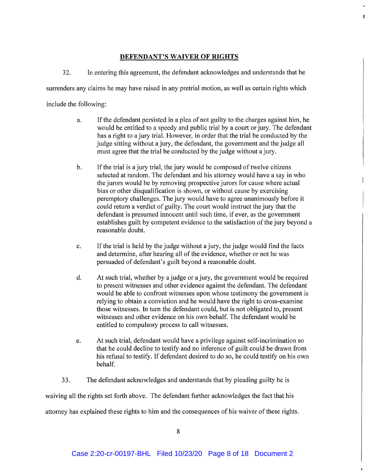# **DEFENDANT'S WAIVER OF RIGHTS**

32. In entering this agreement, the defendant acknowledges and understands that he

surrenders any claims he may have raised in any pretrial motion, as well as certain rights which

include the following:

- a. If the defendant persisted in a plea of not guilty to the charges against him, he would be entitled to a speedy and public trial by a court or jury. The defendant has a right to a jury trial. However, in order that the trial be conducted by the judge sitting without a jury, the defendant, the government and the judge all must agree that the trial be conducted by the judge without a jury.
- b. If the trial is a jury trial, the jury would be composed of twelve citizens selected at random. The defendant and his attorney would have a say in who the jurors would be by removing prospective jurors for cause where actual bias or other disqualification is shown, or without cause by exercising peremptory challenges. The jury would have to agree unanimously before it could return a verdict of guilty. The court would instruct the jury that the defendant is presumed innocent until such time, if ever, as the government establishes guilt by competent evidence to the satisfaction of the jury beyond a reasonable doubt.
- c. If the trial is held by the judge without a jury, the judge would find the facts and determine, after hearing all of the evidence, whether or not he was persuaded of defendant's guilt beyond a reasonable doubt.
- d. At such trial, whether by a judge or a jury, the government would be required to present witnesses and other evidence against the defendant. The defendant would be able to confront witnesses upon whose testimony the government is relying to obtain a conviction and he would have the right to cross-examine those witnesses. In turn the defendant could, but is not obligated to, present witnesses and other evidence on his own behalf. The defendant would be entitled to compulsory process to call witnesses.
- e. At such trial, defendant would have a privilege against self-incrimination so that he could decline to testify and no inference of guilt could be drawn from his refusal to testify. If defendant desired to do so, he could testify on his own behalf.

3 3 . The defendant acknowledges and understands that by pleading guilty he is waiving all the rights set forth above. The defendant further acknowledges the fact that his attorney has explained these rights to him and the consequences of his waiver of these rights.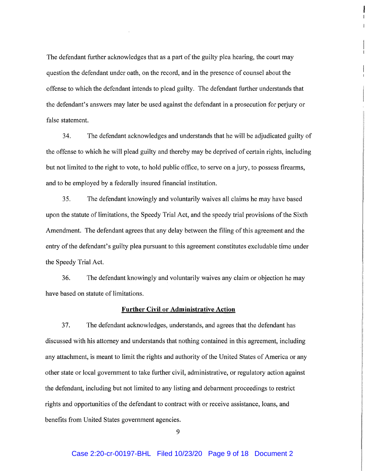The defendant further acknowledges that as a part of the guilty plea hearing, the court may question the defendant under oath, on the record, and in the presence of counsel about the offense to which the defendant intends to plead guilty. The defendant further understands that the defendant's answers may later be used against the defendant in a prosecution for perjury or false statement.

34. The defendant acknowledges and understands that he will be adjudicated guilty of the offense to which he will plead guilty and thereby may be deprived of certain rights, including but not limited to the right to vote, to hold public office, to serve on a jury, to possess firearms, and to be employed by a federally insured financial institution.

35. The defendant knowingly and voluntarily waives all claims he may have based upon the statute of limitations, the Speedy Trial Act, and the speedy trial provisions of the Sixth Amendment. The defendant agrees that any delay between the filing of this agreement and the entry of the defendant's guilty plea pursuant to this agreement constitutes excludable time under the Speedy Trial Act.

36. The defendant knowingly and voluntarily waives any claim or objection he may have based on statute of limitations.

### Further Civil or Administrative Action

37. The defendant acknowledges, understands, and agrees that the defendant has discussed with his attorney and understands that nothing contained in this agreement, including any attachment, is meant to limit the rights and authority of the United States of America or any other state or local government to take further civil, administrative, or regulatory action against the defendant, including but not limited to any listing and debarment proceedings to restrict rights and opportunities of the defendant to contract with or receive assistance, loans, and benefits from United States government agencies.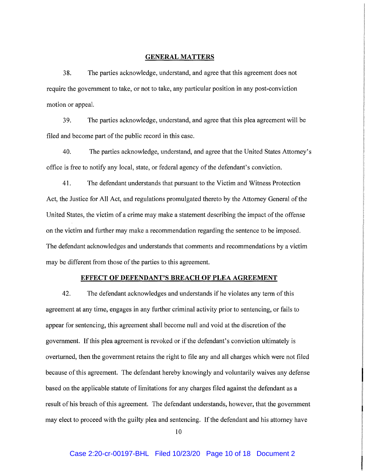### GENERAL MATTERS

38. The parties acknowledge, understand, and agree that this agreement does not require the government to take, or not to take, any particular position in any post-conviction motion or appeal.

39. The parties acknowledge, understand, and agree that this plea agreement will be filed and become part of the public record in this case.

40. The parties acknowledge, understand, and agree that the United States Attorney's office is free to notify any local, state, or federal agency of the defendant's conviction.

41. The defendant understands that pursuant to the Victim and Witness Protection Act, the Justice for Al! Act, and regulations promulgated thereto by the Attorney General of the United States, the victim of a crime may make a statement describing the impact of the offense on the victim and further may make a recommendation regarding the sentence to be imposed. The defendant acknowledges and understands that comments and recommendations by a victim may be different from those of the parties to this agreement.

#### EFFECT OF DEFENDANT'S BREACH OF PLEA AGREEMENT

42. The defendant acknowledges and understands if he violates any term of this agreement at any time, engages in any further criminal activity prior to sentencing, or fails to appear for sentencing, this agreement shall become null and void at the discretion of the government. If this plea agreement is revoked or if the defendant's conviction ultimately is overturned, then the government retains the right to file any and all charges which were not filed because of this agreement. The defendant hereby knowingly and voluntarily waives any defense based on the applicable statute of limitations for any charges filed against the defendant as a result of his breach of this agreement. The defendant understands, however, that the government may elect to proceed with the guilty plea and sentencing. If the defendant and his attorney have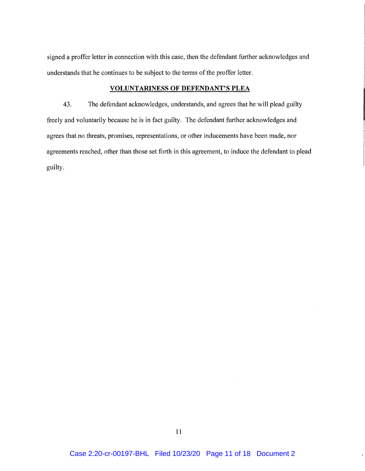signed a proffer letter in connection with this case, then the defendant further acknowledges and understands that he continues to be subject to the terms of the proffer letter.

# **VOLUNTARINESS OF DEFENDANT'S PLEA**

43. The defendant acknowledges, understands, and agrees that he will plead guilty freely and voluntarily because he is in fact guilty. The defendant further acknowledges and agrees that no threats, promises, representations, or other inducements have been made, nor agreements reached, other than those set forth in this agreement, to induce the defendant to plead guilty.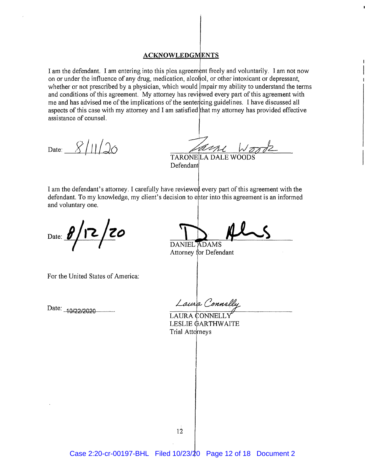# **ACKNOWLEDGMENTS**

I am the defendant. I am entering into this plea agreement freely and voluntarily. I am not now on or under the influence of any drug, medication, alcohol, or other intoxicant or depressant, whether or not prescribed by a physician, which would impair my ability to understand the terms and conditions of this agreement. My attorney has reviewed every part of this agreement with me and has advised me of the implications of the sentencing guidelines. I have discussed all aspects of this case with my attorney and I am satisfied that my attorney has provided effective assistance of counsel.

Date:  $8/11/20$ 

TARONE|LA DALE WOODS Defendan

I am the defendant's attorney. I carefully have reviewed every part of this agreement with the defendant. To my knowledge, my client's decision to enter into this agreement is an informed and voluntary one.

Date: **8/12/20** 

DANIEL ADAMS

Attorney for Defendant

For the United States of America:

Date: -10/22/2020

Laura Connel

LAURA ONNELL LESLIE GARTHWAITE Trial Attorneys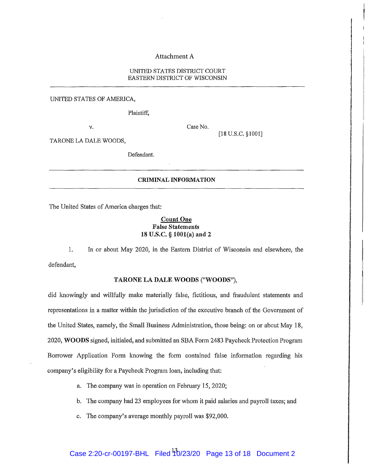### Attachment A

### UNIIED STATES DISTRICT COURT EASTERN DISTRICT OF WISCONSIN

UNITED STATES OF AMERICA,

Plaintiff,

v. Case No.

[18 U.S.C. §1001]

TARONE LA DALE WOODS,

Defendant.

# CRIMINAL INFORMATION

The United States of America charges that:

# Count One False Statements 18 U.S.C. § 1001(a) and 2

1. In or about May 2020, in the Eastern District of Wisconsin and elsewhere, the defendant,

### TARONE LA DALE WOODS ("WOODS"),

did knowingly and willfully make materially false, fictitious, and fraudulent statements and representations in a matter within the jurisdiction of the executive branch of the Government of the United States, namely, the Small Business Administration, those being: on or about May 18, 2020, WOODS signed, initialed, and submitted an SBA Form 2483 Paycheck Protection Program Borrower Application Form knowing the form contained false information regarding his company's eligibility for a Paycheck Program loan, including that:

- a. The company was in operation on February 15, 2020;
- b. The company had 23 employees for whom it paid salaries and payroll taxes; and
- c. The company's average monthly payroll was \$92,000.

# Case 2:20-cr-00197-BHL Filed <sup>1</sup>10/23/20 Page 13 of 18 Document 2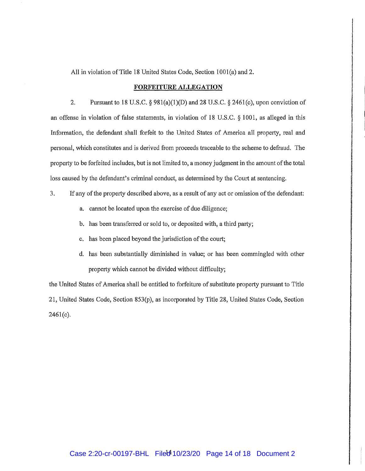All in violation of Title 18 United States Code, Section 1001(a) and 2.

#### FORFEITURE ALLEGATION

2. Pursuant to 18 U.S.C.  $\S 981(a)(1)(D)$  and 28 U.S.C.  $\S 2461(c)$ , upon conviction of an offense in violation of false statements, in violation of 18 U.S.C. § 1001, as alleged in this Information, the defendant shall forfeit to the United States of America all property, real and personal, which constitutes and is derived from proceeds traceable to the scheme to defraud. The property to be forfeited includes, but is not limited to, a money judgment in the amount of the total loss caused by the defendant's criminal conduct, as determined by the Court at sentencing.

- 3. If any of the property described above, as a result of any act or omission of the defendant:
	- a. cannot be located upon the exercise of due diligence;
	- b. has been transferred or sold to, or deposited with, a third party;
	- c. has been placed beyond the jurisdiction of the court;
	- d. has been substantially diminished in value; or has been commingled with other property which cannot be divided without difficulty;

the United States of America shall be entitled to forfeiture of substitute property pursuant to Title 21, United States Code, Section 853(p), as incorporated by Title 28, United States Code, Section 2461(c).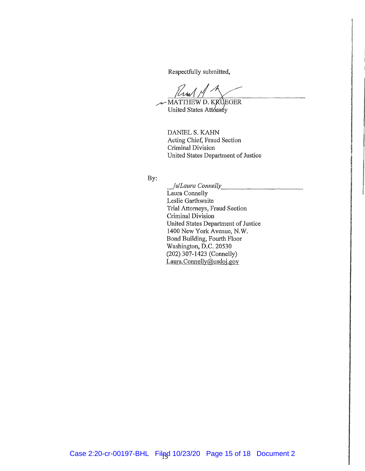Respectfully submitted,

 $\mu$ um/ $\mu$ 

MATTHEW D. KKUEGER United States Attorney

> DANIEL S. KAHN Acting Chief, Fraud Section Criminal Division United States Department of Justice

By:

*\_Is/Laura Connelly*  Laura Connelly Leslie Garthwaite Trial Attorneys, Fraud Section Criminal Division United States Department of Justice 1400 New York Avenue, N.W. Bond Building, Fourth Floor Washington, D.C. 20530 (202) 307-1423 (Connelly) Laura.Connelly@usdoj.gov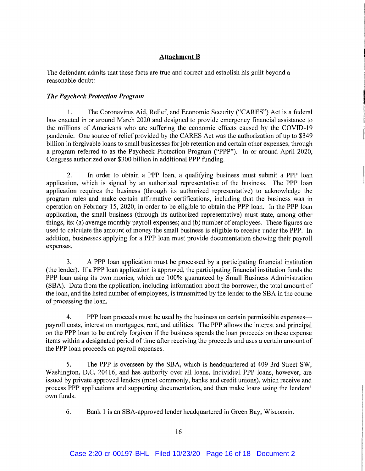# Attachment B

The defendant admits that these facts are true and correct and establish his guilt beyond a reasonable doubt:

# *The Paycheck Protection Program*

1. The Coronavirus Aid, Relief, and Economic Security ("CARES") Act is a federal law enacted in or around March 2020 and designed to provide emergency financial assistance to the millions of Americans who are suffering the economic effects caused by the COVID-19 pandemic. One source of relief provided by the CARES Act was the authorization of up to \$349 billion in forgivable loans to small businesses for job retention and certain other expenses, through a program referred to as the Paycheck Protection Program ("PPP"). In or around April 2020, Congress authorized over \$300 billion in additional PPP funding.

2. In order to obtain a PPP loan, a qualifying business must submit a PPP loan application, which is signed by an authorized representative of the business. The PPP loan application requires the business (through its authorized representative) to acknowledge the program rules and make certain affirmative certifications, including that the business was in operation on February 15, 2020, in order to be eligible to obtain the PPP loan. In the PPP loan application, the small business (through its authorized representative) must state, among other things, its: (a) average monthly payroll expenses; and (b) number of employees. These figures are used to calculate the amount of money the small business is eligible to receive under the PPP. In addition, businesses applying for a PPP loan must provide documentation showing their payroll expenses.

3. A PPP loan application must be processed by a participating financial institution (the lender). If a PPP loan application is approved, the participating financial institution funds the PPP loan using its own monies, which are 100% guaranteed by Small Business Administration (SBA). Data from the application, including information about the borrower, the total amount of the loan, and the listed number of employees, is transmitted by the lender to the SBA in the course of processing the loan.

4. PPP loan proceeds must be used by the business on certain permissible expenses payroll costs, interest on mortgages, rent, and utilities. The PPP allows the interest and principal on the PPP loan to be entirely forgiven if the business spends the loan proceeds on these expense items within a designated period of time after receiving the proceeds and uses a certain amount of the PPP loan proceeds on payroll expenses.

5. The PPP is overseen by the SBA, which is headquartered at 409 3rd Street SW, Washington, D.C. 20416, and has authority over all loans. Individual PPP loans, however, are issued by private approved lenders (most commonly, banks and credit unions), which receive and process PPP applications and supporting documentation, and then make loans using the lenders' own funds.

6. Bank 1 is an SBA-approved lender headquartered in Green Bay, Wisconsin.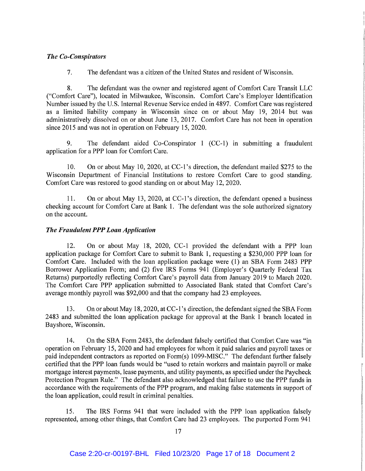# *The Co-Conspirators*

7. The defendant was a citizen of the United States and resident of Wisconsin.

8. The defendant was the owner and registered agent of Comfort Care Transit LLC ("Comfort Care"), located in Milwaukee, Wisconsin. Comfort Care's Employer Identification Number issued by the U.S. Internal Revenue Service ended in 4897. Comfort Care was registered as a limited liability company in Wisconsin since on or about May 19, 2014 but was administratively dissolved on or about June 13, 2017. Comfort Care has not been in operation since 2015 and was not in operation on February 15, 2020.

9. The defendant aided Co-Conspirator 1 (CC-1) in submitting a fraudulent application for a PPP loan for Comfort Care.

10. On or about May 10, 2020, at CC-1's direction, the defendant mailed \$275 to the Wisconsin Department of Financial Institutions to restore Comfort Care to good standing. Comfort Care was restored to good standing on or about May 12, 2020.

11. On or about May 13, 2020, at CC-1's direction, the defendant opened a business checking account for Comfort Care at Bank 1. The defendant was the sole authorized signatory on the account.

# *The Fraudulent PPP Loan Application*

12. On or about May 18, 2020, CC-1 provided the defendant with a PPP loan application package for Comfort Care to submit to Bank 1, requesting a \$230,000 PPP loan for Comfort Care. Included with the loan application package were (1) an SBA Form 2483 PPP Borrower Application Form; and (2) five IRS Forms 941 (Employer's Quarterly Federal Tax Returns) purportedly reflecting Comfort Care's payroll data from January 2019 to March 2020. The Comfort Care PPP application submitted to Associated Bank stated that Comfort Care's average monthly payroll was \$92,000 and that the company had 23 employees.

13. On or about May 18, 2020, at CC-1's direction, the defendant signed the SBA Form 2483 and submitted the loan application package for approval at the Bank 1 branch located in Bayshore, Wisconsin.

14. On the SBA Form 2483, the defendant falsely certified that Comfort Care was "in operation on February 15, 2020 and had employees for whom it paid salaries and payroll taxes or paid independent contractors as reported on Form(s) 1099-MISC." The defendant further falsely certified that the PPP loan funds would be "used to retain workers and maintain payroll or make mortgage interest payments, lease payments, and utility payments, as specified under the Paycheck Protection Program Rule." The defendant also acknowledged that failure to use the PPP funds in accordance with the requirements of the PPP program, and making false statements in support of the loan application, could result in criminal penalties.

15. The IRS Forms 941 that were included with the PPP loan application falsely represented, among other things, that Comfort Care had 23 employees. The purported Form 941